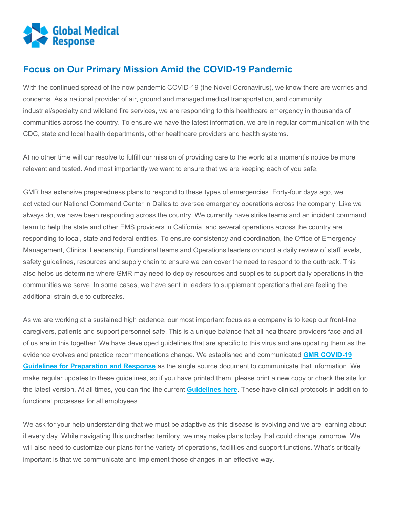

## **Focus on Our Primary Mission Amid the COVID-19 Pandemic**

With the continued spread of the now pandemic COVID-19 (the Novel Coronavirus), we know there are worries and concerns. As a national provider of air, ground and managed medical transportation, and community, industrial/specialty and wildland fire services, we are responding to this healthcare emergency in thousands of communities across the country. To ensure we have the latest information, we are in regular communication with the CDC, state and local health departments, other healthcare providers and health systems.

At no other time will our resolve to fulfill our mission of providing care to the world at a moment's notice be more relevant and tested. And most importantly we want to ensure that we are keeping each of you safe.

GMR has extensive preparedness plans to respond to these types of emergencies. Forty-four days ago, we activated our National Command Center in Dallas to oversee emergency operations across the company. Like we always do, we have been responding across the country. We currently have strike teams and an incident command team to help the state and other EMS providers in California, and several operations across the country are responding to local, state and federal entities. To ensure consistency and coordination, the Office of Emergency Management, Clinical Leadership, Functional teams and Operations leaders conduct a daily review of staff levels, safety guidelines, resources and supply chain to ensure we can cover the need to respond to the outbreak. This also helps us determine where GMR may need to deploy resources and supplies to support daily operations in the communities we serve. In some cases, we have sent in leaders to supplement operations that are feeling the additional strain due to outbreaks.

As we are working at a sustained high cadence, our most important focus as a company is to keep our front-line caregivers, patients and support personnel safe. This is a unique balance that all healthcare providers face and all of us are in this together. We have developed guidelines that are specific to this virus and are updating them as the evidence evolves and practice recommendations change. We established and communicated **[GMR COVID-19](https://www.globalmedicalresponse.com/getattachment/Resources/Emerging-Infectious-Diseases/Caregiver-Information/GMR-COVID19-Guidelines-for-Preparation-and-Response-(3-4-20).pdf?lang=en-US)  Guidelines for [Preparation and Response](https://www.globalmedicalresponse.com/getattachment/Resources/Emerging-Infectious-Diseases/Caregiver-Information/GMR-COVID19-Guidelines-for-Preparation-and-Response-(3-4-20).pdf?lang=en-US)** as the single source document to communicate that information. We make regular updates to these guidelines, so if you have printed them, please print a new copy or check the site for the latest version. At all times, you can find the current **[Guidelines here](https://www.globalmedicalresponse.com/getattachment/Resources/Emerging-Infectious-Diseases/Caregiver-Information/GMR-COVID19-Guidelines-for-Preparation-and-Response-(3-4-20).pdf?lang=en-US)**. These have clinical protocols in addition to functional processes for all employees.

We ask for your help understanding that we must be adaptive as this disease is evolving and we are learning about it every day. While navigating this uncharted territory, we may make plans today that could change tomorrow. We will also need to customize our plans for the variety of operations, facilities and support functions. What's critically important is that we communicate and implement those changes in an effective way.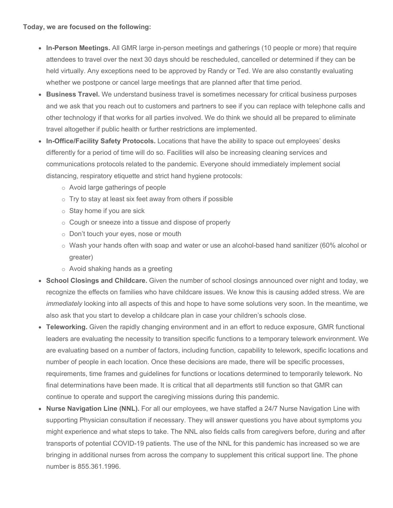- **In-Person Meetings.** All GMR large in-person meetings and gatherings (10 people or more) that require attendees to travel over the next 30 days should be rescheduled, cancelled or determined if they can be held virtually. Any exceptions need to be approved by Randy or Ted. We are also constantly evaluating whether we postpone or cancel large meetings that are planned after that time period.
- **Business Travel.** We understand business travel is sometimes necessary for critical business purposes and we ask that you reach out to customers and partners to see if you can replace with telephone calls and other technology if that works for all parties involved. We do think we should all be prepared to eliminate travel altogether if public health or further restrictions are implemented.
- **In-Office/Facility Safety Protocols.** Locations that have the ability to space out employees' desks differently for a period of time will do so. Facilities will also be increasing cleaning services and communications protocols related to the pandemic. Everyone should immediately implement social distancing, respiratory etiquette and strict hand hygiene protocols:
	- o Avoid large gatherings of people
	- $\circ$  Try to stay at least six feet away from others if possible
	- $\circ$  Stay home if you are sick
	- o Cough or sneeze into a tissue and dispose of properly
	- o Don't touch your eyes, nose or mouth
	- $\circ$  Wash your hands often with soap and water or use an alcohol-based hand sanitizer (60% alcohol or greater)
	- o Avoid shaking hands as a greeting
- **School Closings and Childcare.** Given the number of school closings announced over night and today, we recognize the effects on families who have childcare issues. We know this is causing added stress. We are *immediately* looking into all aspects of this and hope to have some solutions very soon. In the meantime, we also ask that you start to develop a childcare plan in case your children's schools close.
- **Teleworking.** Given the rapidly changing environment and in an effort to reduce exposure, GMR functional leaders are evaluating the necessity to transition specific functions to a temporary telework environment. We are evaluating based on a number of factors, including function, capability to telework, specific locations and number of people in each location. Once these decisions are made, there will be specific processes, requirements, time frames and guidelines for functions or locations determined to temporarily telework. No final determinations have been made. It is critical that all departments still function so that GMR can continue to operate and support the caregiving missions during this pandemic.
- **Nurse Navigation Line (NNL).** For all our employees, we have staffed a 24/7 Nurse Navigation Line with supporting Physician consultation if necessary. They will answer questions you have about symptoms you might experience and what steps to take. The NNL also fields calls from caregivers before, during and after transports of potential COVID-19 patients. The use of the NNL for this pandemic has increased so we are bringing in additional nurses from across the company to supplement this critical support line. The phone number is 855.361.1996.